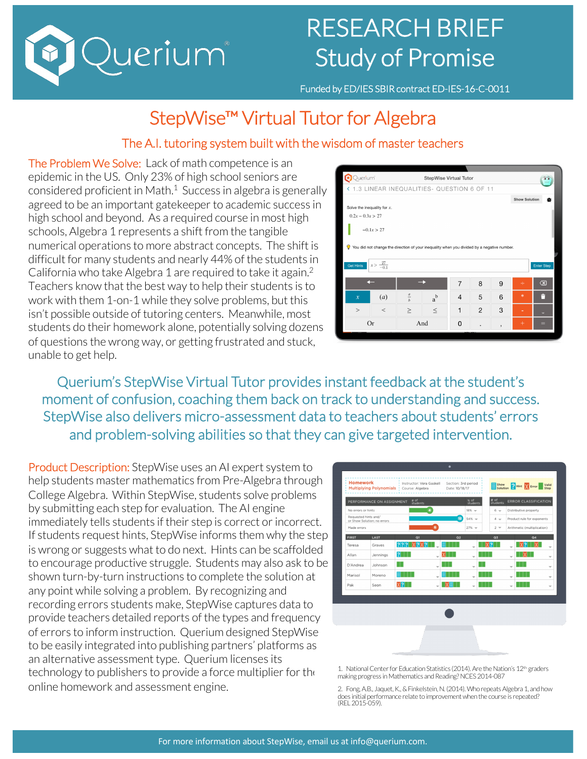

# RESEARCH BRIEF Study of Promise

Funded by ED/IES SBIR contract ED-IES-16-C-0011

# StepWise™ Virtual Tutor for Algebra

#### The A.I. tutoring system built with the wisdom of master teachers

The Problem We Solve: Lack of math competence is an epidemic in the US. Only 23% of high school seniors are considered proficient in Math.1 Success in algebra is generally agreed to be an important gatekeeper to academic success in high school and beyond. As a required course in most high schools, Algebra 1 represents a shift from the tangible numerical operations to more abstract concepts. The shift is difficult for many students and nearly 44% of the students in California who take Algebra 1 are required to take it again.<sup>2</sup> Teachers know that the best way to help their students is to work with them 1-on-1 while they solve problems, but this isn't possible outside of tutoring centers. Meanwhile, most students do their homework alone, potentially solving dozens of questions the wrong way, or getting frustrated and stuck, unable to get help.

|                                           | Queriumi<br>StepWise Virtual Tutor |             |                                                                                            |                |                |                          |        |                              |  |
|-------------------------------------------|------------------------------------|-------------|--------------------------------------------------------------------------------------------|----------------|----------------|--------------------------|--------|------------------------------|--|
|                                           |                                    |             | < 1.3 LINEAR INEQUALITIES- QUESTION 6 OF 11                                                |                |                |                          |        |                              |  |
|                                           |                                    |             |                                                                                            |                |                |                          |        | <b>Show Solution</b><br>春    |  |
| Solve the inequality for $x$ .            |                                    |             |                                                                                            |                |                |                          |        |                              |  |
| $0.2x - 0.3x > 27$                        |                                    |             |                                                                                            |                |                |                          |        |                              |  |
|                                           | $-0.1x > 27$                       |             |                                                                                            |                |                |                          |        |                              |  |
| O                                         |                                    |             | You did not change the direction of your inequality when you divided by a negative number. |                |                |                          |        |                              |  |
| $x > \frac{27}{-0.1}$<br><b>Get Hints</b> |                                    |             |                                                                                            |                |                |                          |        | <b>Enter Step</b>            |  |
|                                           |                                    |             |                                                                                            | $\overline{7}$ | 8              | 9                        |        | $\left( \overline{x}\right)$ |  |
| $\boldsymbol{\mathcal{X}}$                | (a)                                | $rac{a}{b}$ | $a^b$                                                                                      | 4              | 5              | 6                        | $*$    | п                            |  |
| >                                         | $\,<$                              | $\geq$      | $\leq$                                                                                     | $\mathbf{1}$   | $\overline{2}$ | 3                        |        | u                            |  |
| <b>Or</b>                                 |                                    | And         |                                                                                            | 0              |                | $\overline{\phantom{a}}$ | $^{+}$ | $=$                          |  |

Querium's StepWise Virtual Tutor provides instant feedback at the student's moment of confusion, coaching them back on track to understanding and success. StepWise also delivers micro-assessment data to teachers about students' errors and problem-solving abilities so that they can give targeted intervention.

Product Description: StepWise uses an AI expert system to help students master mathematics from Pre-Algebra through College Algebra. Within StepWise, students solve problems by submitting each step for evaluation. The AI engine immediately tells students if their step is correct or incorrect. If students request hints, StepWise informs them why the step is wrong or suggests what to do next. Hints can be scaffolded to encourage productive struggle. Students may also ask to be shown turn-by-turn instructions to complete the solution at any point while solving a problem. By recognizing and recording errors students make, StepWise captures data to provide teachers detailed reports of the types and frequency of errors to inform instruction. Querium designed StepWise to be easily integrated into publishing partners' platforms as an alternative assessment type. Querium licenses its technology to publishers to provide a force multiplier for the online homework and assessment engine.



1. National Center for Education Statistics (2014). Are the Nation's 12<sup>th</sup> graders making progress in Mathematics and Reading? NCES 2014-087

2. Fong, A.B., Jaquet, K., & Finkelstein, N. (2014). Who repeats Algebra 1, and how does initial performance relate to improvement when the course is repeated? (REL 2015-059).